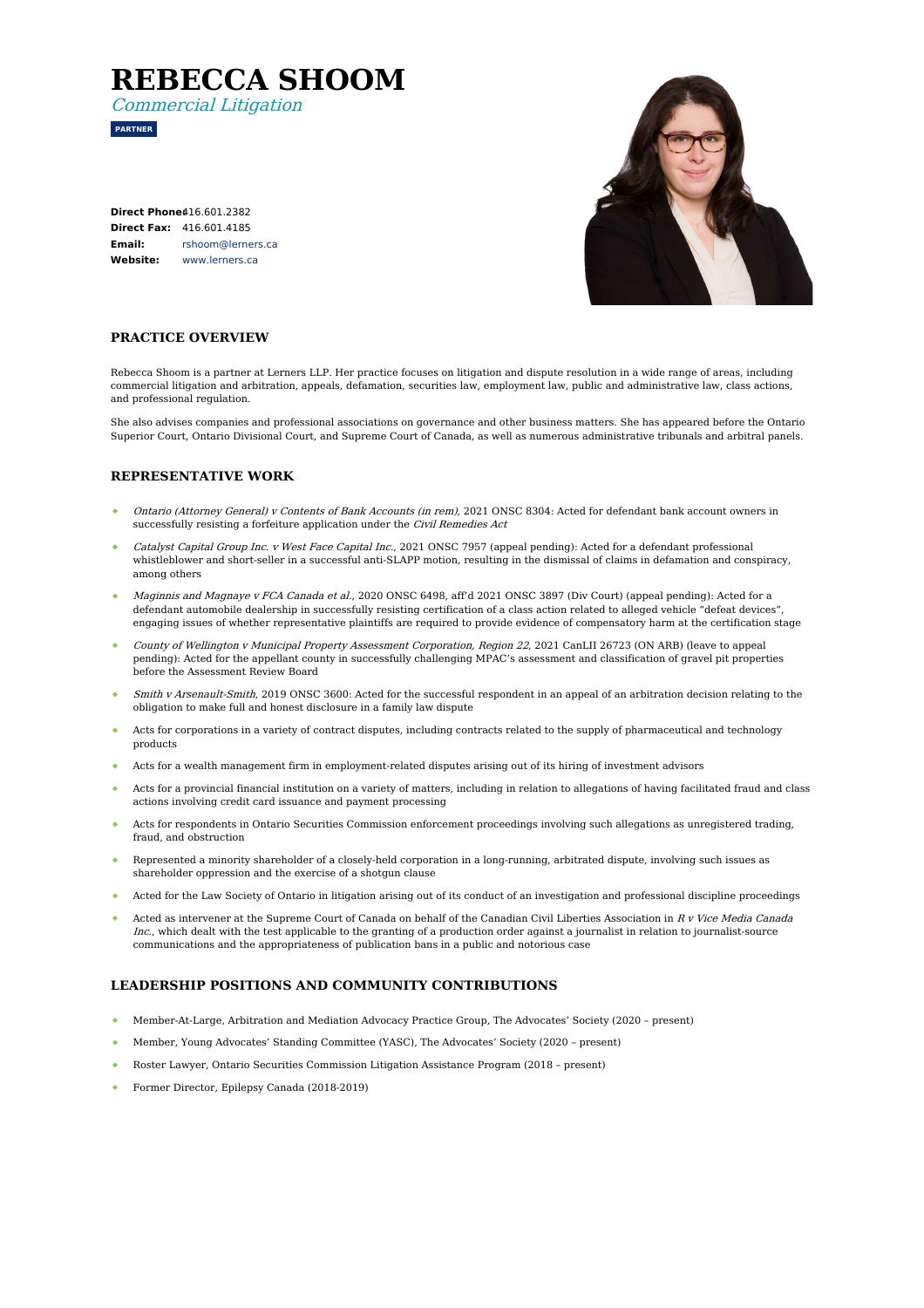# **REBECCA SHOOM**

Commercial Litigation

**PARTNER**

| <b>Direct Phone416.601.2382</b> |                                 |
|---------------------------------|---------------------------------|
|                                 | <b>Direct Fax: 416.601.4185</b> |
| Email:                          | rshoom@lerners.ca               |
| Website:                        | www.lerners.ca                  |



### **PRACTICE OVERVIEW**

Rebecca Shoom is a partner at Lerners LLP. Her practice focuses on litigation and dispute resolution in a wide range of areas, including commercial litigation and arbitration, appeals, defamation, securities law, employment law, public and administrative law, class actions, and professional regulation.

She also advises companies and professional associations on governance and other business matters. She has appeared before the Ontario Superior Court, Ontario Divisional Court, and Supreme Court of Canada, as well as numerous administrative tribunals and arbitral panels.

#### **REPRESENTATIVE WORK**

- Ontario (Attorney General) <sup>v</sup> Contents of Bank Accounts (in rem), 2021 ONSC 8304: Acted for defendant bank account owners in successfully resisting a forfeiture application under the *Civil Remedies Act*
- Catalyst Capital Group Inc. <sup>v</sup> West Face Capital Inc., 2021 ONSC 7957 (appeal pending): Acted for a defendant professional whistleblower and short-seller in a successful anti-SLAPP motion, resulting in the dismissal of claims in defamation and conspiracy, among others
- Maginnis and Magnaye <sup>v</sup> FCA Canada et al., 2020 ONSC 6498, aff'd 2021 ONSC 3897 (Div Court) (appeal pending): Acted for a defendant automobile dealership in successfully resisting certification of a class action related to alleged vehicle "defeat devices", engaging issues of whether representative plaintiffs are required to provide evidence of compensatory harm at the certification stage
- County of Wellington <sup>v</sup> Municipal Property Assessment Corporation, Region 22, 2021 CanLII 26723 (ON ARB) (leave to appeal pending): Acted for the appellant county in successfully challenging MPAC's assessment and classification of gravel pit properties before the Assessment Review Board
- Smith v Arsenault-Smith, 2019 ONSC 3600: Acted for the successful respondent in an appeal of an arbitration decision relating to the obligation to make full and honest disclosure in a family law dispute
- Acts for corporations in a variety of contract disputes, including contracts related to the supply of pharmaceutical and technology products
- Acts for a wealth management firm in employment-related disputes arising out of its hiring of investment advisors
- Acts for a provincial financial institution on a variety of matters, including in relation to allegations of having facilitated fraud and class actions involving credit card issuance and payment processing
- Acts for respondents in Ontario Securities Commission enforcement proceedings involving such allegations as unregistered trading, fraud, and obstruction
- Represented a minority shareholder of a closely-held corporation in a long-running, arbitrated dispute, involving such issues as shareholder oppression and the exercise of a shotgun clause
- Acted for the Law Society of Ontario in litigation arising out of its conduct of an investigation and professional discipline proceedings
- Acted as intervener at the Supreme Court of Canada on behalf of the Canadian Civil Liberties Association in R v Vice Media Canada Inc., which dealt with the test applicable to the granting of a production order against a journalist in relation to journalist-source communications and the appropriateness of publication bans in a public and notorious case

#### **LEADERSHIP POSITIONS AND COMMUNITY CONTRIBUTIONS**

- Member-At-Large, Arbitration and Mediation Advocacy Practice Group, The Advocates' Society (2020 present)
- Member, Young Advocates' Standing Committee (YASC), The Advocates' Society (2020 present)
- Roster Lawyer, Ontario Securities Commission Litigation Assistance Program (2018 present)
- Former Director, Epilepsy Canada (2018-2019)